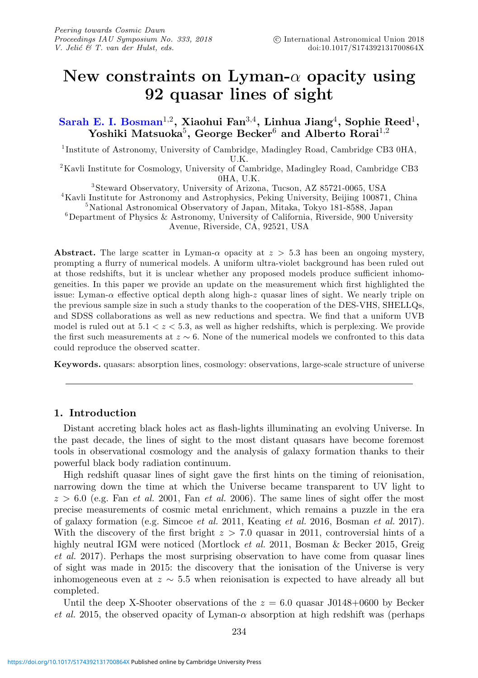# **New constraints on Lyman-**α **opacity using 92 quasar lines of sight**

**[Sarah E. I. Bosman](http://orcid.org/0000-0001-8582-7012)**1,2**, Xiaohui Fan**3,4**, Linhua Jiang**4**, Sophie Reed**1**, Yoshiki Matsuoka**5**, George Becker**<sup>6</sup> **and Alberto Rorai**1,<sup>2</sup>

<sup>1</sup> Institute of Astronomy, University of Cambridge, Madingley Road, Cambridge CB3 0HA, U.K.<br><sup>2</sup>Kavli Institute for Cosmology, University of Cambridge, Madingley Road, Cambridge CB3

 $$\,^\circ$$  3<br>Steward Observatory, University of Arizona, Tucson, AZ 85721-0065, USA<br> $^4$ Kavli Institute for Astronomy and Astrophysics, Peking University, Beijing 100871, China<br> $^5$ National Astronomical Observatory of Japan,

Avenue, Riverside, CA, 92521, USA

**Abstract.** The large scatter in Lyman- $\alpha$  opacity at  $z > 5.3$  has been an ongoing mystery, prompting a flurry of numerical models. A uniform ultra-violet background has been ruled out at those redshifts, but it is unclear whether any proposed models produce sufficient inhomogeneities. In this paper we provide an update on the measurement which first highlighted the issue: Lyman- $\alpha$  effective optical depth along high-z quasar lines of sight. We nearly triple on the previous sample size in such a study thanks to the cooperation of the DES-VHS, SHELLQs, and SDSS collaborations as well as new reductions and spectra. We find that a uniform UVB model is ruled out at  $5.1 < z < 5.3$ , as well as higher redshifts, which is perplexing. We provide the first such measurements at  $z \sim 6$ . None of the numerical models we confronted to this data could reproduce the observed scatter.

**Keywords.** quasars: absorption lines, cosmology: observations, large-scale structure of universe

### **1. Introduction**

Distant accreting black holes act as flash-lights illuminating an evolving Universe. In the past decade, the lines of sight to the most distant quasars have become foremost tools in observational cosmology and the analysis of galaxy formation thanks to their powerful black body radiation continuum.

High redshift quasar lines of sight gave the first hints on the timing of reionisation, narrowing down the time at which the Universe became transparent to UV light to  $z > 6.0$  (e.g. Fan *et al.* 2001, Fan *et al.* 2006). The same lines of sight offer the most precise measurements of cosmic metal enrichment, which remains a puzzle in the era of galaxy formation (e.g. Simcoe et al. 2011, Keating et al. 2016, Bosman et al. 2017). With the discovery of the first bright  $z > 7.0$  quasar in 2011, controversial hints of a highly neutral IGM were noticed (Mortlock et al. 2011, Bosman & Becker 2015, Greig et al. 2017). Perhaps the most surprising observation to have come from quasar lines of sight was made in 2015: the discovery that the ionisation of the Universe is very inhomogeneous even at  $z \sim 5.5$  when reionisation is expected to have already all but completed.

Until the deep X-Shooter observations of the  $z = 6.0$  quasar J0148+0600 by Becker et al. 2015, the observed opacity of Lyman- $\alpha$  absorption at high redshift was (perhaps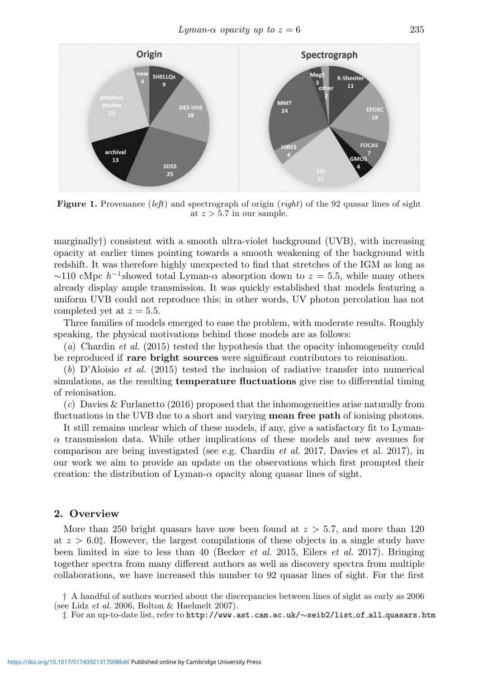

**Figure 1.** Provenance (left) and spectrograph of origin (right) of the 92 quasar lines of sight at  $z > 5.7$  in our sample.

marginally†) consistent with a smooth ultra-violet background (UVB), with increasing opacity at earlier times pointing towards a smooth weakening of the background with redshift. It was therefore highly unexpected to find that stretches of the IGM as long as  $\sim$ 110 cMpc h<sup>-1</sup> showed total Lyman- $\alpha$  absorption down to  $z = 5.5$ , while many others already display ample transmission. It was quickly established that models featuring a uniform UVB could not reproduce this; in other words, UV photon percolation has not completed yet at  $z = 5.5$ .

Three families of models emerged to ease the problem, with moderate results. Roughly speaking, the physical motivations behind those models are as follows:

(a) Chardin et al. (2015) tested the hypothesis that the opacity inhomogeneity could be reproduced if **rare bright sources** were significant contributors to reionisation.

 $(b)$  D'Aloisio *et al.* (2015) tested the inclusion of radiative transfer into numerical simulations, as the resulting **temperature fluctuations** give rise to differential timing of reionisation.

(c) Davies & Furlanetto (2016) proposed that the inhomogeneities arise naturally from fluctuations in the UVB due to a short and varying **mean free path** of ionising photons.

It still remains unclear which of these models, if any, give a satisfactory fit to Lyman- $\alpha$  transmission data. While other implications of these models and new avenues for comparison are being investigated (see e.g. Chardin et al. 2017, Davies et al. 2017), in our work we aim to provide an update on the observations which first prompted their creation: the distribution of Lyman- $\alpha$  opacity along quasar lines of sight.

### **2. Overview**

More than 250 bright quasars have now been found at  $z > 5.7$ , and more than 120 at  $z > 6.0$ . However, the largest compilations of these objects in a single study have been limited in size to less than 40 (Becker *et al.* 2015, Eilers *et al.* 2017). Bringing together spectra from many different authors as well as discovery spectra from multiple collaborations, we have increased this number to 92 quasar lines of sight. For the first

† A handful of authors worried about the discrepancies between lines of sight as early as 2006 (see Lidz et al. 2006, Bolton & Haehnelt 2007).

‡ For an up-to-date list, refer to http://www.ast.cam.ac.uk/∼seib2/list of all quasars.htm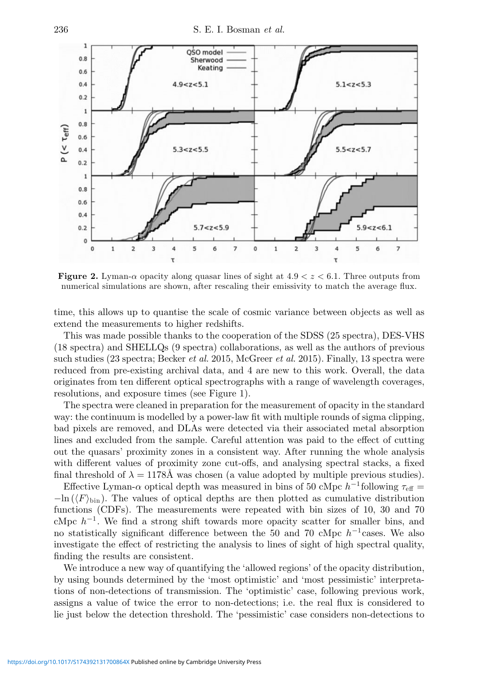

**Figure 2.** Lyman- $\alpha$  opacity along quasar lines of sight at  $4.9 < z < 6.1$ . Three outputs from numerical simulations are shown, after rescaling their emissivity to match the average flux.

time, this allows up to quantise the scale of cosmic variance between objects as well as extend the measurements to higher redshifts.

This was made possible thanks to the cooperation of the SDSS (25 spectra), DES-VHS (18 spectra) and SHELLQs (9 spectra) collaborations, as well as the authors of previous such studies (23 spectra; Becker *et al.* 2015, McGreer *et al.* 2015). Finally, 13 spectra were reduced from pre-existing archival data, and 4 are new to this work. Overall, the data originates from ten different optical spectrographs with a range of wavelength coverages, resolutions, and exposure times (see Figure 1).

The spectra were cleaned in preparation for the measurement of opacity in the standard way: the continuum is modelled by a power-law fit with multiple rounds of sigma clipping, bad pixels are removed, and DLAs were detected via their associated metal absorption lines and excluded from the sample. Careful attention was paid to the effect of cutting out the quasars' proximity zones in a consistent way. After running the whole analysis with different values of proximity zone cut-offs, and analysing spectral stacks, a fixed final threshold of  $\lambda = 1178\text{\AA}$  was chosen (a value adopted by multiple previous studies).

Effective Lyman-α optical depth was measured in bins of 50 cMpc  $h^{-1}$  following  $\tau_{\text{eff}} =$  $-\ln(\langle F \rangle_{\text{bin}})$ . The values of optical depths are then plotted as cumulative distribution functions (CDFs). The measurements were repeated with bin sizes of 10, 30 and 70 cMpc  $h^{-1}$ . We find a strong shift towards more opacity scatter for smaller bins, and no statistically significant difference between the 50 and 70 cMpc  $h^{-1}$  cases. We also investigate the effect of restricting the analysis to lines of sight of high spectral quality, finding the results are consistent.

We introduce a new way of quantifying the 'allowed regions' of the opacity distribution, by using bounds determined by the 'most optimistic' and 'most pessimistic' interpretations of non-detections of transmission. The 'optimistic' case, following previous work, assigns a value of twice the error to non-detections; i.e. the real flux is considered to lie just below the detection threshold. The 'pessimistic' case considers non-detections to